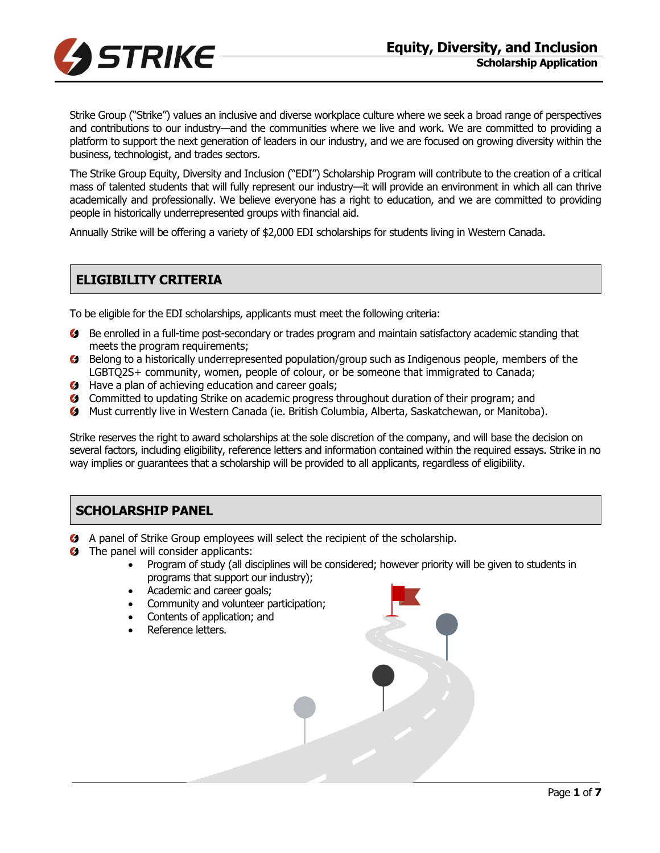

Strike Group ("Strike") values an inclusive and diverse workplace culture where we seek a broad range of perspectives and contributions to our industry—and the communities where we live and work. We are committed to providing a platform to support the next generation of leaders in our industry, and we are focused on growing diversity within the business, technologist, and trades sectors.

The Strike Group Equity, Diversity and Inclusion ("EDI") Scholarship Program will contribute to the creation of a critical mass of talented students that will fully represent our industry—it will provide an environment in which all can thrive academically and professionally. We believe everyone has a right to education, and we are committed to providing people in historically underrepresented groups with financial aid.

Annually Strike will be offering a variety of \$2,000 EDI scholarships for students living in Western Canada.

# **ELIGIBILITY CRITERIA**

To be eligible for the EDI scholarships, applicants must meet the following criteria:

- Be enrolled in a full-time post-secondary or trades program and maintain satisfactory academic standing that meets the program requirements;
- **Belong to a historically underrepresented population/group such as Indigenous people, members of the** LGBTQ2S+ community, women, people of colour, or be someone that immigrated to Canada;
- **Have a plan of achieving education and career goals;**
- Committed to updating Strike on academic progress throughout duration of their program; and
- Must currently live in Western Canada (ie. British Columbia, Alberta, Saskatchewan, or Manitoba).

Strike reserves the right to award scholarships at the sole discretion of the company, and will base the decision on several factors, including eligibility, reference letters and information contained within the required essays. Strike in no way implies or guarantees that a scholarship will be provided to all applicants, regardless of eligibility.

# **SCHOLARSHIP PANEL**

- A panel of Strike Group employees will select the recipient of the scholarship.
- **G** The panel will consider applicants:
	- Program of study (all disciplines will be considered; however priority will be given to students in programs that support our industry);
	- Academic and career goals;
	- Community and volunteer participation;
	- Contents of application; and
	- Reference letters.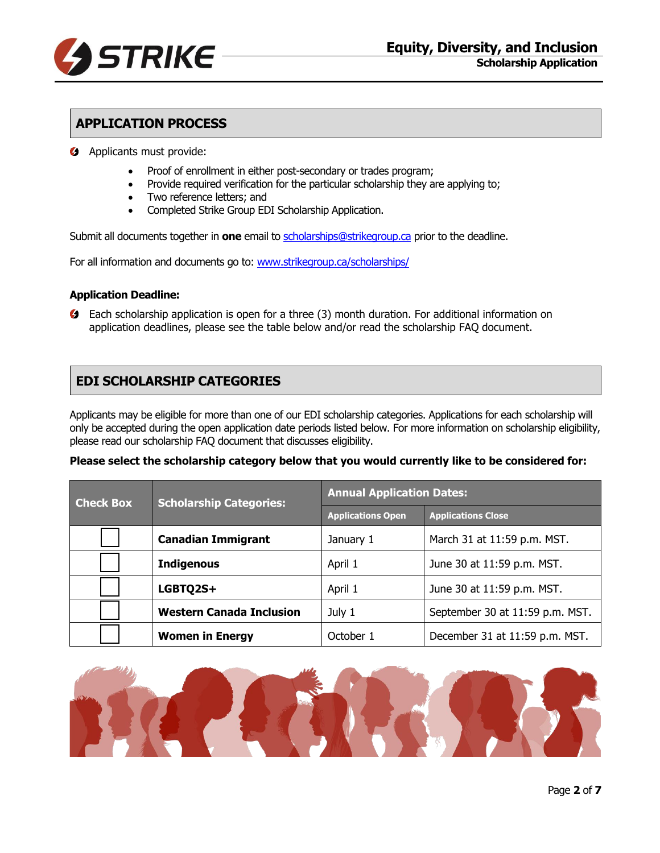

## **APPLICATION PROCESS**

- **4** Applicants must provide:
	- Proof of enrollment in either post-secondary or trades program;
	- Provide required verification for the particular scholarship they are applying to;
	- Two reference letters; and
	- Completed Strike Group EDI Scholarship Application.

Submit all documents together in **one** email to [scholarships@strikegroup.ca](mailto:scholarships@strikegroup.ca) prior to the deadline.

For all information and documents go to: [www.strikegroup.ca/scholarships/](http://www.strikegroup.ca/scholarships/)

#### **Application Deadline:**

Each scholarship application is open for a three (3) month duration. For additional information on application deadlines, please see the table below and/or read the scholarship FAQ document.

#### **EDI SCHOLARSHIP CATEGORIES**

Applicants may be eligible for more than one of our EDI scholarship categories. Applications for each scholarship will only be accepted during the open application date periods listed below. For more information on scholarship eligibility, please read our scholarship FAQ document that discusses eligibility.

#### **Please select the scholarship category below that you would currently like to be considered for:**

| <b>Check Box</b> | <b>Scholarship Categories:</b>  | <b>Annual Application Dates:</b> |                                 |
|------------------|---------------------------------|----------------------------------|---------------------------------|
|                  |                                 | <b>Applications Open</b>         | <b>Applications Close</b>       |
|                  | <b>Canadian Immigrant</b>       | January 1                        | March 31 at 11:59 p.m. MST.     |
|                  | <b>Indigenous</b>               | April 1                          | June 30 at 11:59 p.m. MST.      |
|                  | LGBTQ2S+                        | April 1                          | June 30 at 11:59 p.m. MST.      |
|                  | <b>Western Canada Inclusion</b> | July 1                           | September 30 at 11:59 p.m. MST. |
|                  | <b>Women in Energy</b>          | October 1                        | December 31 at 11:59 p.m. MST.  |

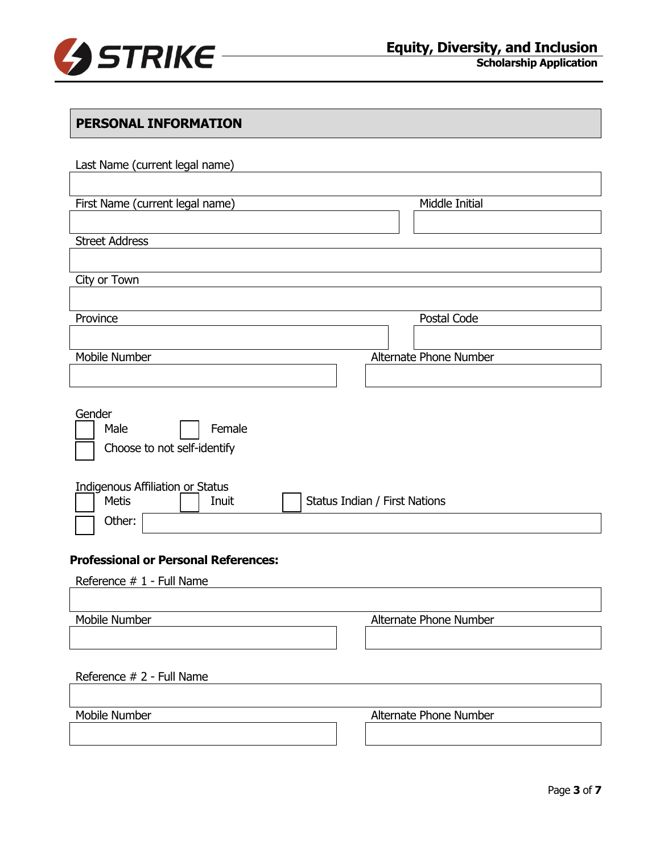

**Scholarship Application**

| PERSONAL INFORMATION                                                                                                 |                               |
|----------------------------------------------------------------------------------------------------------------------|-------------------------------|
| Last Name (current legal name)                                                                                       |                               |
|                                                                                                                      |                               |
| First Name (current legal name)                                                                                      | Middle Initial                |
|                                                                                                                      |                               |
| <b>Street Address</b>                                                                                                |                               |
| City or Town                                                                                                         |                               |
|                                                                                                                      |                               |
| Province                                                                                                             | Postal Code                   |
|                                                                                                                      |                               |
| Mobile Number                                                                                                        | Alternate Phone Number        |
|                                                                                                                      |                               |
| Gender<br>Male<br>Female<br>Choose to not self-identify<br>Indigenous Affiliation or Status<br><b>Metis</b><br>Inuit | Status Indian / First Nations |
| Other:<br><b>Professional or Personal References:</b>                                                                |                               |
|                                                                                                                      |                               |
| Reference # 1 - Full Name                                                                                            |                               |
| Mobile Number                                                                                                        | Alternate Phone Number        |
|                                                                                                                      |                               |
|                                                                                                                      |                               |
| Reference # 2 - Full Name                                                                                            |                               |
|                                                                                                                      |                               |
| Mobile Number                                                                                                        | Alternate Phone Number        |
|                                                                                                                      |                               |
|                                                                                                                      |                               |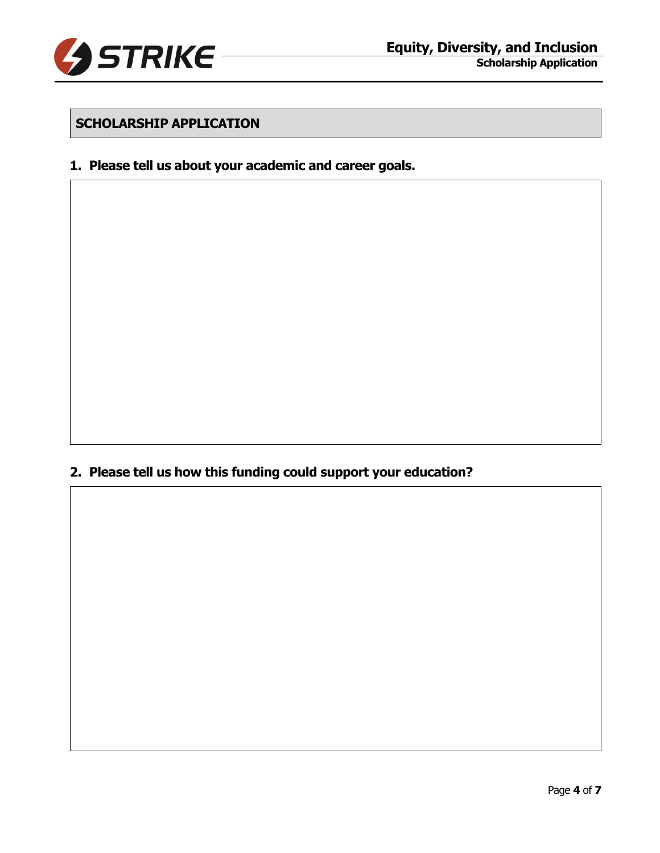

### **SCHOLARSHIP APPLICATION**

#### **1. Please tell us about your academic and career goals.**

**2. Please tell us how this funding could support your education?**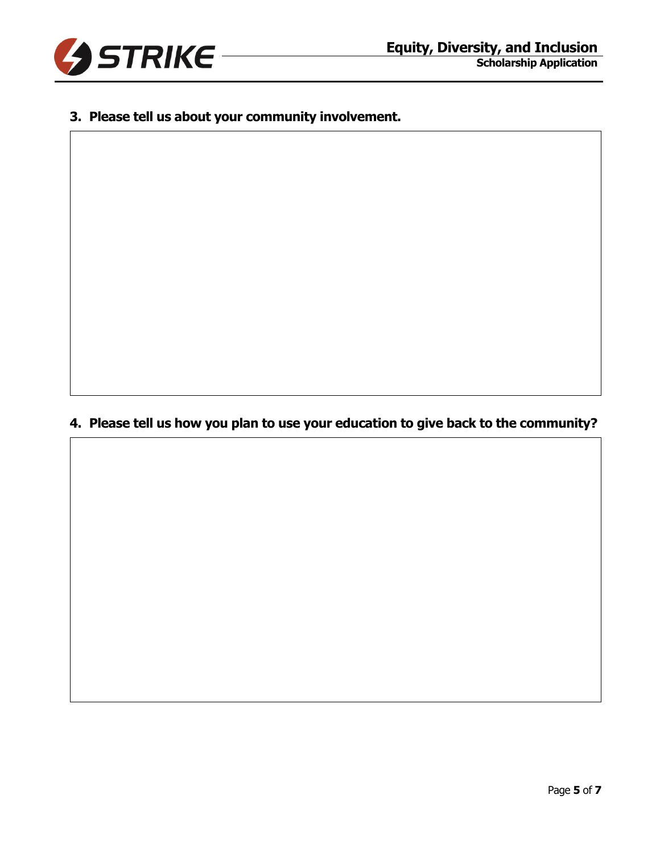

## **3. Please tell us about your community involvement.**

**4. Please tell us how you plan to use your education to give back to the community?**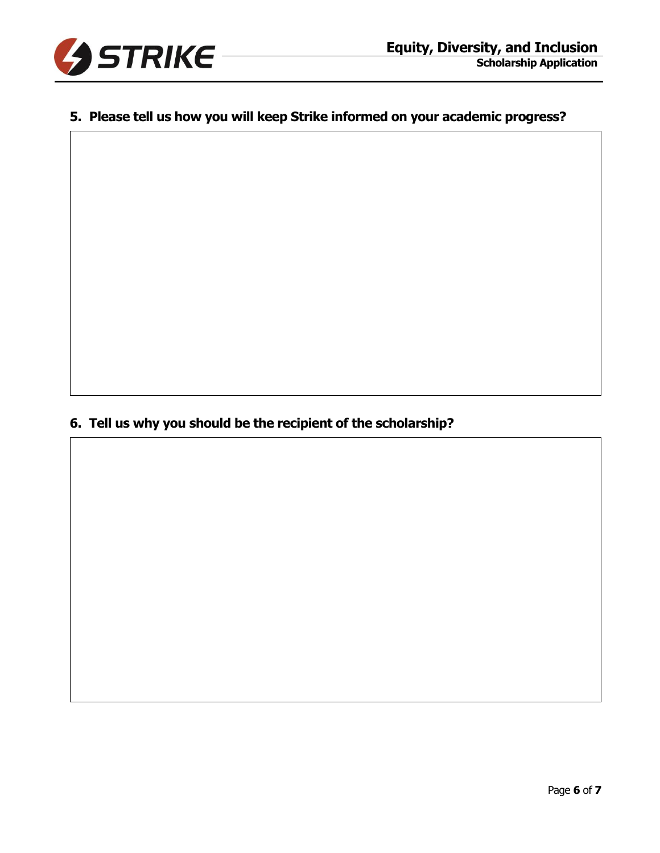

## **5. Please tell us how you will keep Strike informed on your academic progress?**

**6. Tell us why you should be the recipient of the scholarship?**